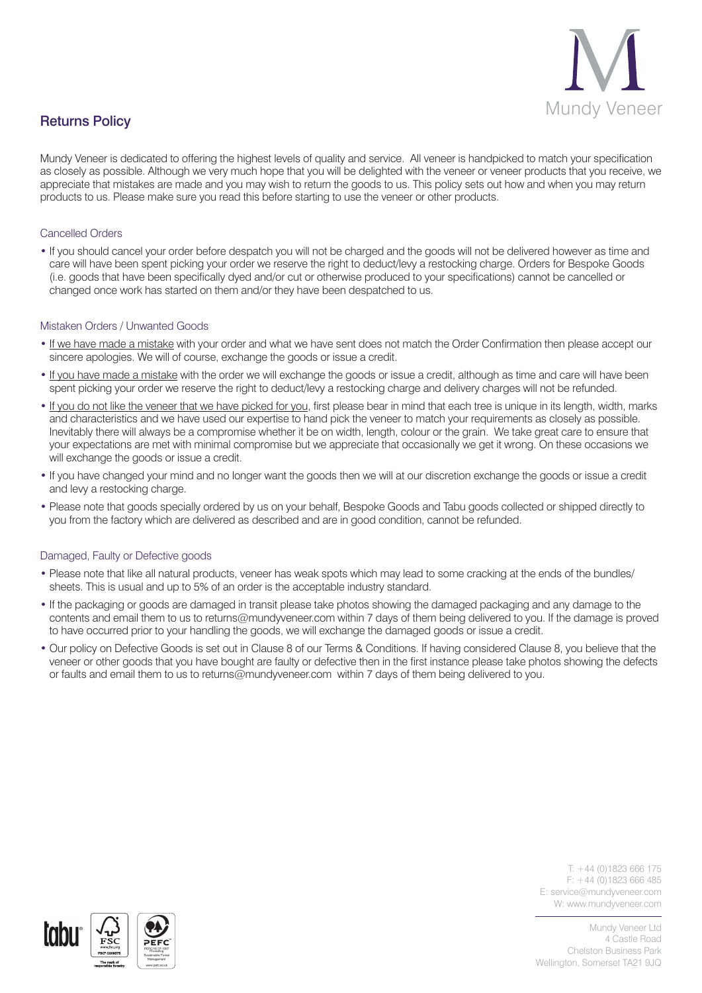

Mundy Veneer is dedicated to offering the highest levels of quality and service. All veneer is handpicked to match your specification as closely as possible. Although we very much hope that you will be delighted with the veneer or veneer products that you receive, we appreciate that mistakes are made and you may wish to return the goods to us. This policy sets out how and when you may return products to us. Please make sure you read this before starting to use the veneer or other products.

# Cancelled Orders

• If you should cancel your order before despatch you will not be charged and the goods will not be delivered however as time and care will have been spent picking your order we reserve the right to deduct/levy a restocking charge. Orders for Bespoke Goods (i.e. goods that have been specifically dyed and/or cut or otherwise produced to your specifications) cannot be cancelled or changed once work has started on them and/or they have been despatched to us.

## Mistaken Orders / Unwanted Goods

- If we have made a mistake with your order and what we have sent does not match the Order Confirmation then please accept our sincere apologies. We will of course, exchange the goods or issue a credit.
- If you have made a mistake with the order we will exchange the goods or issue a credit, although as time and care will have been spent picking your order we reserve the right to deduct/levy a restocking charge and delivery charges will not be refunded.
- If you do not like the veneer that we have picked for you, first please bear in mind that each tree is unique in its length, width, marks and characteristics and we have used our expertise to hand pick the veneer to match your requirements as closely as possible. Inevitably there will always be a compromise whether it be on width, length, colour or the grain. We take great care to ensure that your expectations are met with minimal compromise but we appreciate that occasionally we get it wrong. On these occasions we will exchange the goods or issue a credit.
- If you have changed your mind and no longer want the goods then we will at our discretion exchange the goods or issue a credit and levy a restocking charge.
- Please note that goods specially ordered by us on your behalf, Bespoke Goods and Tabu goods collected or shipped directly to you from the factory which are delivered as described and are in good condition, cannot be refunded.

## Damaged, Faulty or Defective goods

- Please note that like all natural products, veneer has weak spots which may lead to some cracking at the ends of the bundles/ sheets. This is usual and up to 5% of an order is the acceptable industry standard.
- If the packaging or goods are damaged in transit please take photos showing the damaged packaging and any damage to the contents and email them to us to returns@mundyveneer.com within 7 days of them being delivered to you. If the damage is proved to have occurred prior to your handling the goods, we will exchange the damaged goods or issue a credit.
- Our policy on Defective Goods is set out in Clause 8 of our Terms & Conditions. If having considered Clause 8, you believe that the veneer or other goods that you have bought are faulty or defective then in the first instance please take photos showing the defects or faults and email them to us to returns@mundyveneer.com within 7 days of them being delivered to you.

 $T: +44(0)1823666175$ F: +44 (0)1823 666 485 E: service@mundyveneer.com W: www.mundyveneer.com

Mundy Veneer Ltd 4 Castle Road Chelston Business Park Wellington, Somerset TA21 9JQ